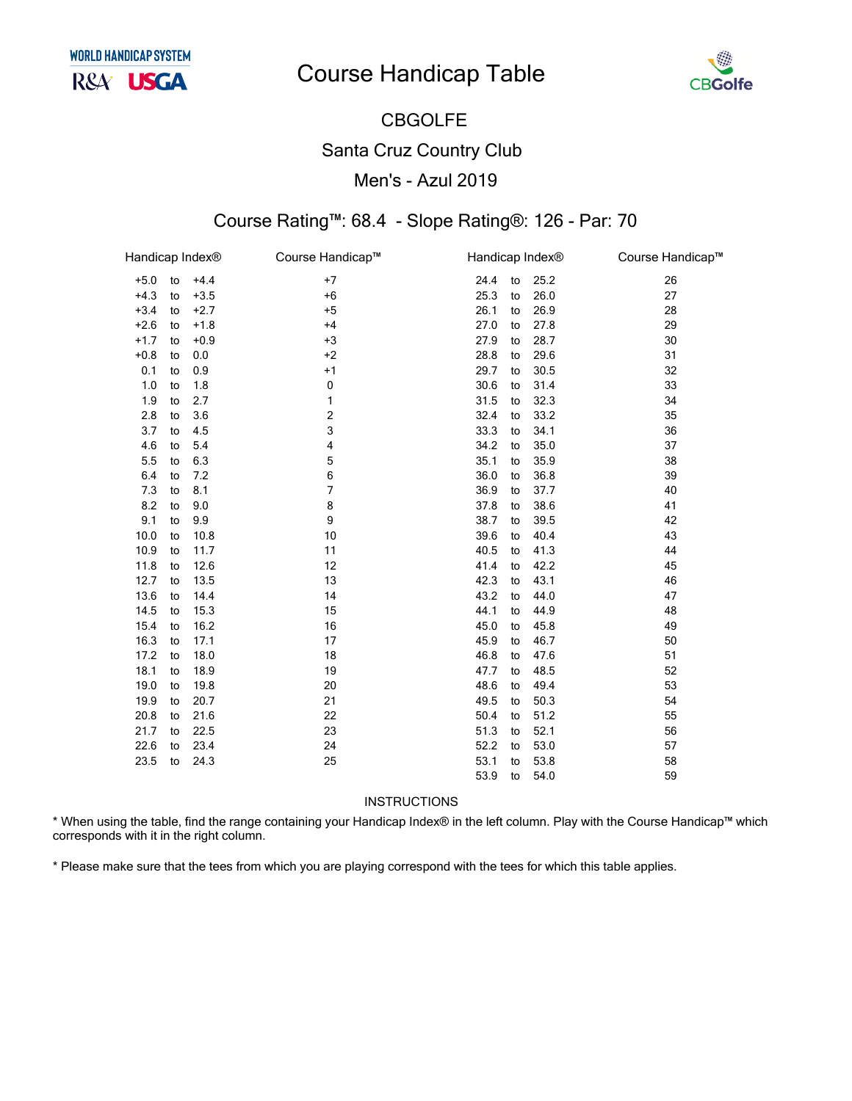## **Course Handicap Table**



# **CBGOLFE Santa Cruz Country Club** Men's - Azul 2019

#### Course Rating™: 68.4 - Slope Rating®: 126 - Par: 70

| Handicap Index <sup>®</sup> |    |        | Course Handicap™ | Handicap Index® |    |      | Course Handicap™ |
|-----------------------------|----|--------|------------------|-----------------|----|------|------------------|
| $+5.0$                      | to | $+4.4$ | $+7$             | 24.4            | to | 25.2 | 26               |
| $+4.3$                      | to | $+3.5$ | $+6$             | 25.3            | to | 26.0 | 27               |
| $+3.4$                      | to | $+2.7$ | $+5$             | 26.1            | to | 26.9 | 28               |
| $+2.6$                      | to | $+1.8$ | $+4$             | 27.0            | to | 27.8 | 29               |
| $+1.7$                      | to | $+0.9$ | $+3$             | 27.9            | to | 28.7 | 30               |
| $+0.8$                      | to | 0.0    | $+2$             | 28.8            | to | 29.6 | 31               |
| 0.1                         | to | 0.9    | $+1$             | 29.7            | to | 30.5 | 32               |
| 1.0                         | to | 1.8    | 0                | 30.6            | to | 31.4 | 33               |
| 1.9                         | to | 2.7    | 1                | 31.5            | to | 32.3 | 34               |
| 2.8                         | to | 3.6    | 2                | 32.4            | to | 33.2 | 35               |
| 3.7                         | to | 4.5    | 3                | 33.3            | to | 34.1 | 36               |
| 4.6                         | to | 5.4    | 4                | 34.2            | to | 35.0 | 37               |
| 5.5                         | to | 6.3    | 5                | 35.1            | to | 35.9 | 38               |
| 6.4                         | to | 7.2    | 6                | 36.0            | to | 36.8 | 39               |
| 7.3                         | to | 8.1    | 7                | 36.9            | to | 37.7 | 40               |
| 8.2                         | to | 9.0    | 8                | 37.8            | to | 38.6 | 41               |
| 9.1                         | to | 9.9    | 9                | 38.7            | to | 39.5 | 42               |
| 10.0                        | to | 10.8   | 10               | 39.6            | to | 40.4 | 43               |
| 10.9                        | to | 11.7   | 11               | 40.5            | to | 41.3 | 44               |
| 11.8                        | to | 12.6   | 12               | 41.4            | to | 42.2 | 45               |
| 12.7                        | to | 13.5   | 13               | 42.3            | to | 43.1 | 46               |
| 13.6                        | to | 14.4   | 14               | 43.2            | to | 44.0 | 47               |
| 14.5                        | to | 15.3   | 15               | 44.1            | to | 44.9 | 48               |
| 15.4                        | to | 16.2   | 16               | 45.0            | to | 45.8 | 49               |
| 16.3                        | to | 17.1   | 17               | 45.9            | to | 46.7 | 50               |
| 17.2                        | to | 18.0   | 18               | 46.8            | to | 47.6 | 51               |
| 18.1                        | to | 18.9   | 19               | 47.7            | to | 48.5 | 52               |
| 19.0                        | to | 19.8   | 20               | 48.6            | to | 49.4 | 53               |
| 19.9                        | to | 20.7   | 21               | 49.5            | to | 50.3 | 54               |
| 20.8                        | to | 21.6   | 22               | 50.4            | to | 51.2 | 55               |
| 21.7                        | to | 22.5   | 23               | 51.3            | to | 52.1 | 56               |
| 22.6                        | to | 23.4   | 24               | 52.2            | to | 53.0 | 57               |
| 23.5                        | to | 24.3   | 25               | 53.1            | to | 53.8 | 58               |
|                             |    |        |                  | 53.9            | to | 54.0 | 59               |

**INSTRUCTIONS** 

\* When using the table, find the range containing your Handicap Index® in the left column. Play with the Course Handicap™ which corresponds with it in the right column.

\* Please make sure that the tees from which you are playing correspond with the tees for which this table applies.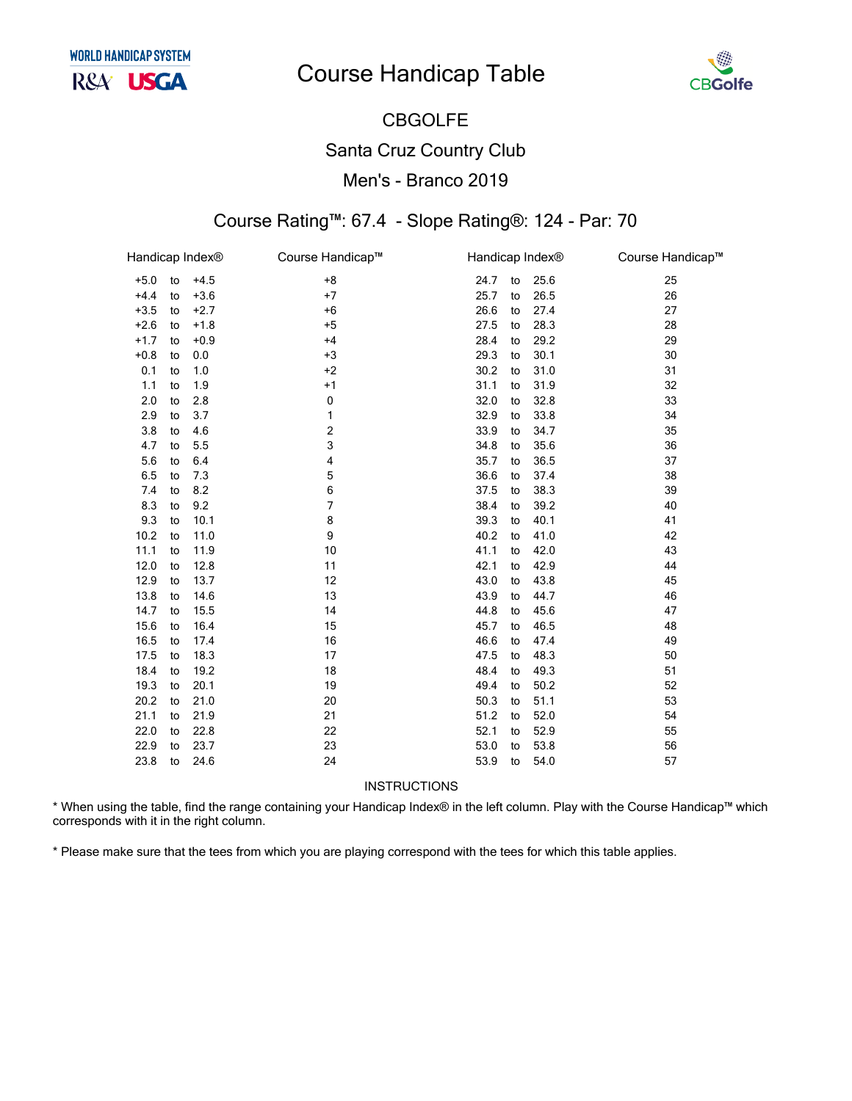# **Course Handicap Table**



## CBGOLFE Santa Cruz Country Club Men's - Branco 2019

#### Course Rating™: 67.4 - Slope Rating®: 124 - Par: 70

| Handicap Index® |    |        | Course Handicap™ |      | Handicap Index <sup>®</sup> |      | Course Handicap™ |
|-----------------|----|--------|------------------|------|-----------------------------|------|------------------|
| $+5.0$          | to | $+4.5$ | $+8$             | 24.7 | to                          | 25.6 | 25               |
| $+4.4$          | to | $+3.6$ | $+7$             | 25.7 | to                          | 26.5 | 26               |
| $+3.5$          | to | $+2.7$ | $+6$             | 26.6 | to                          | 27.4 | 27               |
| $+2.6$          | to | $+1.8$ | $+5$             | 27.5 | to                          | 28.3 | 28               |
| $+1.7$          | to | $+0.9$ | $+4$             | 28.4 | to                          | 29.2 | 29               |
| $+0.8$          | to | 0.0    | $+3$             | 29.3 | to                          | 30.1 | 30               |
| 0.1             | to | 1.0    | $+2$             | 30.2 | to                          | 31.0 | 31               |
| 1.1             | to | 1.9    | $+1$             | 31.1 | to                          | 31.9 | 32               |
| 2.0             | to | 2.8    | 0                | 32.0 | to                          | 32.8 | 33               |
| 2.9             | to | 3.7    | 1                | 32.9 | to                          | 33.8 | 34               |
| 3.8             | to | 4.6    | 2                | 33.9 | to                          | 34.7 | 35               |
| 4.7             | to | 5.5    | 3                | 34.8 | to                          | 35.6 | 36               |
| 5.6             | to | 6.4    | 4                | 35.7 | to                          | 36.5 | 37               |
| 6.5             | to | 7.3    | 5                | 36.6 | to                          | 37.4 | 38               |
| 7.4             | to | 8.2    | 6                | 37.5 | to                          | 38.3 | 39               |
| 8.3             | to | 9.2    | 7                | 38.4 | to                          | 39.2 | 40               |
| 9.3             | to | 10.1   | 8                | 39.3 | to                          | 40.1 | 41               |
| 10.2            | to | 11.0   | 9                | 40.2 | to                          | 41.0 | 42               |
| 11.1            | to | 11.9   | 10               | 41.1 | to                          | 42.0 | 43               |
| 12.0            | to | 12.8   | 11               | 42.1 | to                          | 42.9 | 44               |
| 12.9            | to | 13.7   | 12               | 43.0 | to                          | 43.8 | 45               |
| 13.8            | to | 14.6   | 13               | 43.9 | to                          | 44.7 | 46               |
| 14.7            | to | 15.5   | 14               | 44.8 | to                          | 45.6 | 47               |
| 15.6            | to | 16.4   | 15               | 45.7 | to                          | 46.5 | 48               |
| 16.5            | to | 17.4   | 16               | 46.6 | to                          | 47.4 | 49               |
| 17.5            | to | 18.3   | 17               | 47.5 | to                          | 48.3 | 50               |
| 18.4            | to | 19.2   | 18               | 48.4 | to                          | 49.3 | 51               |
| 19.3            | to | 20.1   | 19               | 49.4 | to                          | 50.2 | 52               |
| 20.2            | to | 21.0   | 20               | 50.3 | to                          | 51.1 | 53               |
| 21.1            | to | 21.9   | 21               | 51.2 | to                          | 52.0 | 54               |
| 22.0            | to | 22.8   | 22               | 52.1 | to                          | 52.9 | 55               |
| 22.9            | to | 23.7   | 23               | 53.0 | to                          | 53.8 | 56               |
| 23.8            | to | 24.6   | 24               | 53.9 | to                          | 54.0 | 57               |

INSTRUCTIONS

\* When using the table, find the range containing your Handicap Index® in the left column. Play with the Course Handicap™ which corresponds with it in the right column.

\* Please make sure that the tees from which you are playing correspond with the tees for which this table applies.